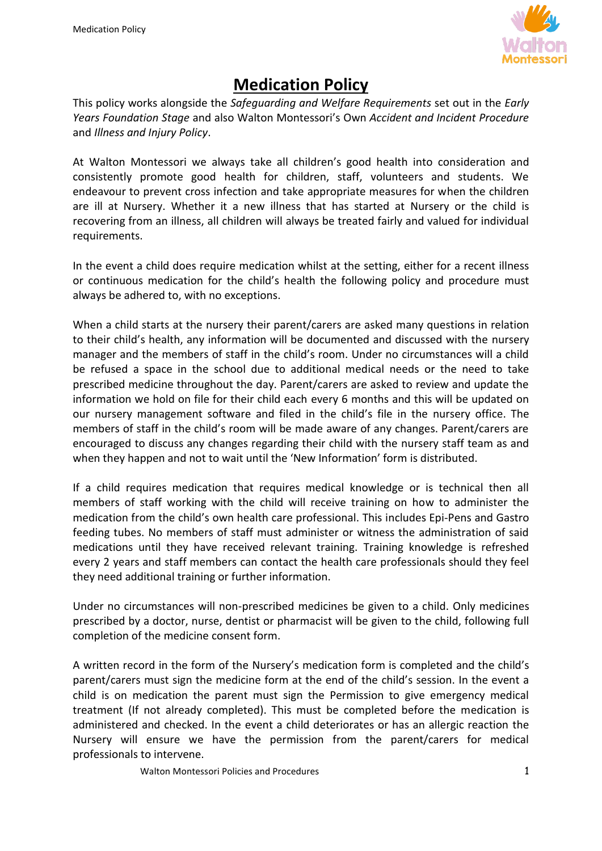

## **Medication Policy**

This policy works alongside the *Safeguarding and Welfare Requirements* set out in the *Early Years Foundation Stage* and also Walton Montessori's Own *Accident and Incident Procedure* and *Illness and Injury Policy*.

At Walton Montessori we always take all children's good health into consideration and consistently promote good health for children, staff, volunteers and students. We endeavour to prevent cross infection and take appropriate measures for when the children are ill at Nursery. Whether it a new illness that has started at Nursery or the child is recovering from an illness, all children will always be treated fairly and valued for individual requirements.

In the event a child does require medication whilst at the setting, either for a recent illness or continuous medication for the child's health the following policy and procedure must always be adhered to, with no exceptions.

When a child starts at the nursery their parent/carers are asked many questions in relation to their child's health, any information will be documented and discussed with the nursery manager and the members of staff in the child's room. Under no circumstances will a child be refused a space in the school due to additional medical needs or the need to take prescribed medicine throughout the day. Parent/carers are asked to review and update the information we hold on file for their child each every 6 months and this will be updated on our nursery management software and filed in the child's file in the nursery office. The members of staff in the child's room will be made aware of any changes. Parent/carers are encouraged to discuss any changes regarding their child with the nursery staff team as and when they happen and not to wait until the 'New Information' form is distributed.

If a child requires medication that requires medical knowledge or is technical then all members of staff working with the child will receive training on how to administer the medication from the child's own health care professional. This includes Epi-Pens and Gastro feeding tubes. No members of staff must administer or witness the administration of said medications until they have received relevant training. Training knowledge is refreshed every 2 years and staff members can contact the health care professionals should they feel they need additional training or further information.

Under no circumstances will non-prescribed medicines be given to a child. Only medicines prescribed by a doctor, nurse, dentist or pharmacist will be given to the child, following full completion of the medicine consent form.

A written record in the form of the Nursery's medication form is completed and the child's parent/carers must sign the medicine form at the end of the child's session. In the event a child is on medication the parent must sign the Permission to give emergency medical treatment (If not already completed). This must be completed before the medication is administered and checked. In the event a child deteriorates or has an allergic reaction the Nursery will ensure we have the permission from the parent/carers for medical professionals to intervene.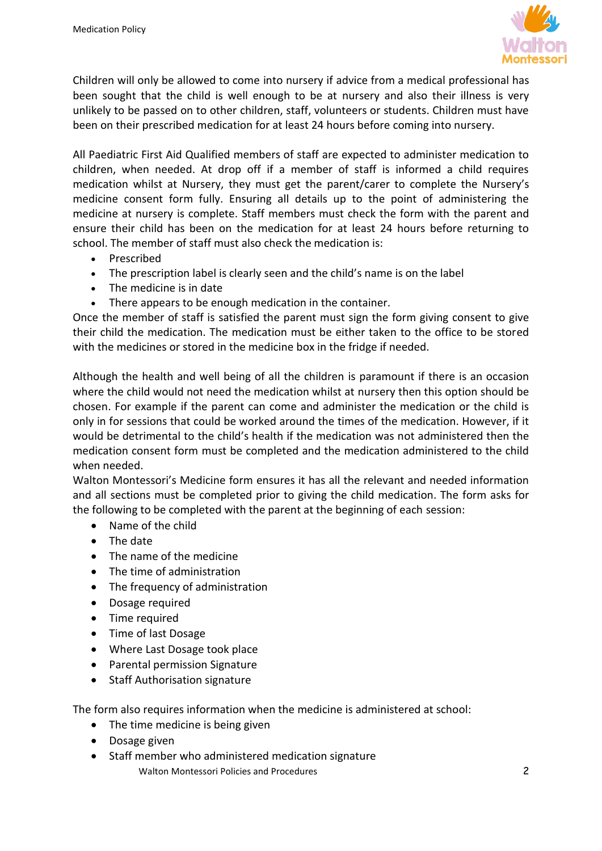

Children will only be allowed to come into nursery if advice from a medical professional has been sought that the child is well enough to be at nursery and also their illness is very unlikely to be passed on to other children, staff, volunteers or students. Children must have been on their prescribed medication for at least 24 hours before coming into nursery.

All Paediatric First Aid Qualified members of staff are expected to administer medication to children, when needed. At drop off if a member of staff is informed a child requires medication whilst at Nursery, they must get the parent/carer to complete the Nursery's medicine consent form fully. Ensuring all details up to the point of administering the medicine at nursery is complete. Staff members must check the form with the parent and ensure their child has been on the medication for at least 24 hours before returning to school. The member of staff must also check the medication is:

- Prescribed
- The prescription label is clearly seen and the child's name is on the label
- The medicine is in date
- There appears to be enough medication in the container.

Once the member of staff is satisfied the parent must sign the form giving consent to give their child the medication. The medication must be either taken to the office to be stored with the medicines or stored in the medicine box in the fridge if needed.

Although the health and well being of all the children is paramount if there is an occasion where the child would not need the medication whilst at nursery then this option should be chosen. For example if the parent can come and administer the medication or the child is only in for sessions that could be worked around the times of the medication. However, if it would be detrimental to the child's health if the medication was not administered then the medication consent form must be completed and the medication administered to the child when needed.

Walton Montessori's Medicine form ensures it has all the relevant and needed information and all sections must be completed prior to giving the child medication. The form asks for the following to be completed with the parent at the beginning of each session:

- Name of the child
- The date
- The name of the medicine
- The time of administration
- The frequency of administration
- Dosage required
- Time required
- Time of last Dosage
- Where Last Dosage took place
- Parental permission Signature
- Staff Authorisation signature

The form also requires information when the medicine is administered at school:

- The time medicine is being given
- Dosage given
- Staff member who administered medication signature
	- Walton Montessori Policies and Procedures 2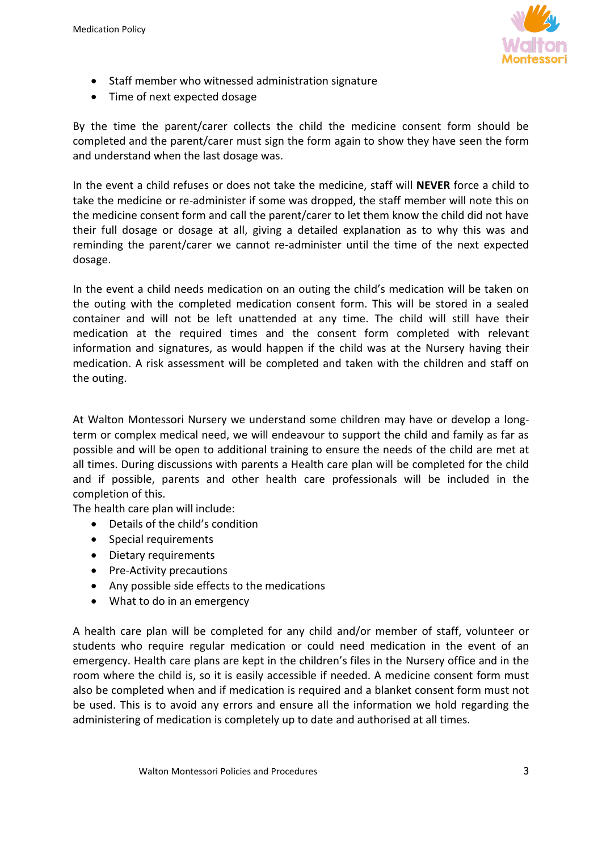

- Staff member who witnessed administration signature
- Time of next expected dosage

By the time the parent/carer collects the child the medicine consent form should be completed and the parent/carer must sign the form again to show they have seen the form and understand when the last dosage was.

In the event a child refuses or does not take the medicine, staff will **NEVER** force a child to take the medicine or re-administer if some was dropped, the staff member will note this on the medicine consent form and call the parent/carer to let them know the child did not have their full dosage or dosage at all, giving a detailed explanation as to why this was and reminding the parent/carer we cannot re-administer until the time of the next expected dosage.

In the event a child needs medication on an outing the child's medication will be taken on the outing with the completed medication consent form. This will be stored in a sealed container and will not be left unattended at any time. The child will still have their medication at the required times and the consent form completed with relevant information and signatures, as would happen if the child was at the Nursery having their medication. A risk assessment will be completed and taken with the children and staff on the outing.

At Walton Montessori Nursery we understand some children may have or develop a longterm or complex medical need, we will endeavour to support the child and family as far as possible and will be open to additional training to ensure the needs of the child are met at all times. During discussions with parents a Health care plan will be completed for the child and if possible, parents and other health care professionals will be included in the completion of this.

The health care plan will include:

- Details of the child's condition
- Special requirements
- Dietary requirements
- Pre-Activity precautions
- Any possible side effects to the medications
- What to do in an emergency

A health care plan will be completed for any child and/or member of staff, volunteer or students who require regular medication or could need medication in the event of an emergency. Health care plans are kept in the children's files in the Nursery office and in the room where the child is, so it is easily accessible if needed. A medicine consent form must also be completed when and if medication is required and a blanket consent form must not be used. This is to avoid any errors and ensure all the information we hold regarding the administering of medication is completely up to date and authorised at all times.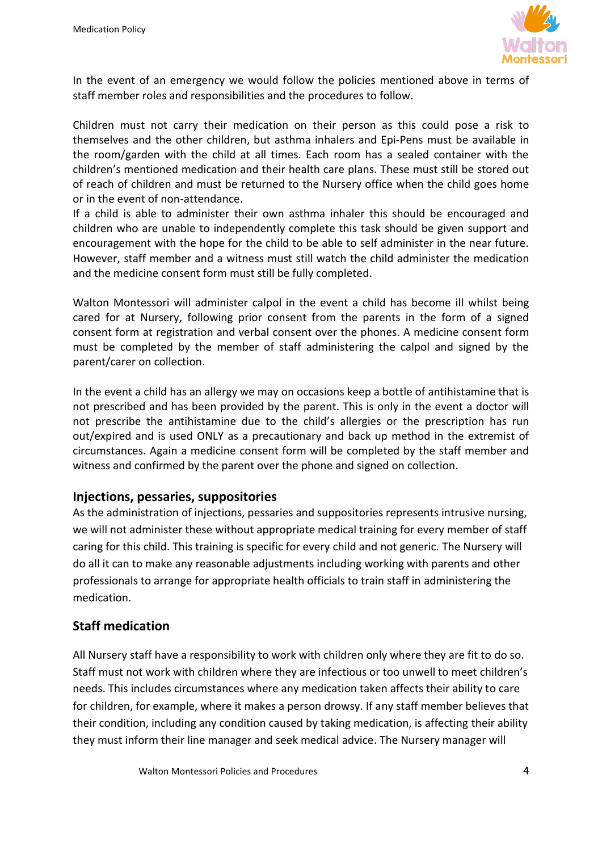

In the event of an emergency we would follow the policies mentioned above in terms of staff member roles and responsibilities and the procedures to follow.

Children must not carry their medication on their person as this could pose a risk to themselves and the other children, but asthma inhalers and Epi-Pens must be available in the room/garden with the child at all times. Each room has a sealed container with the children's mentioned medication and their health care plans. These must still be stored out of reach of children and must be returned to the Nursery office when the child goes home or in the event of non-attendance.

If a child is able to administer their own asthma inhaler this should be encouraged and children who are unable to independently complete this task should be given support and encouragement with the hope for the child to be able to self administer in the near future. However, staff member and a witness must still watch the child administer the medication and the medicine consent form must still be fully completed.

Walton Montessori will administer calpol in the event a child has become ill whilst being cared for at Nursery, following prior consent from the parents in the form of a signed consent form at registration and verbal consent over the phones. A medicine consent form must be completed by the member of staff administering the calpol and signed by the parent/carer on collection.

In the event a child has an allergy we may on occasions keep a bottle of antihistamine that is not prescribed and has been provided by the parent. This is only in the event a doctor will not prescribe the antihistamine due to the child's allergies or the prescription has run out/expired and is used ONLY as a precautionary and back up method in the extremist of circumstances. Again a medicine consent form will be completed by the staff member and witness and confirmed by the parent over the phone and signed on collection.

## **Injections, pessaries, suppositories**

As the administration of injections, pessaries and suppositories represents intrusive nursing, we will not administer these without appropriate medical training for every member of staff caring for this child. This training is specific for every child and not generic. The Nursery will do all it can to make any reasonable adjustments including working with parents and other professionals to arrange for appropriate health officials to train staff in administering the medication.

## **Staff medication**

All Nursery staff have a responsibility to work with children only where they are fit to do so. Staff must not work with children where they are infectious or too unwell to meet children's needs. This includes circumstances where any medication taken affects their ability to care for children, for example, where it makes a person drowsy. If any staff member believes that their condition, including any condition caused by taking medication, is affecting their ability they must inform their line manager and seek medical advice. The Nursery manager will